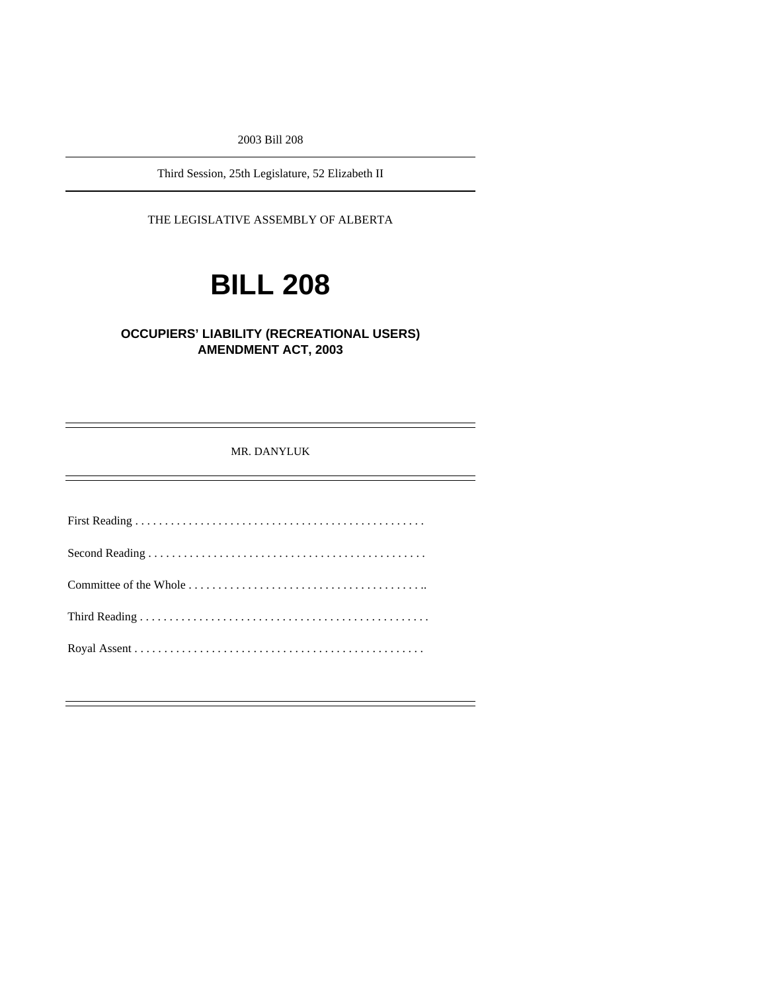2003 Bill 208

Third Session, 25th Legislature, 52 Elizabeth II

THE LEGISLATIVE ASSEMBLY OF ALBERTA

# **BILL 208**

### **OCCUPIERS' LIABILITY (RECREATIONAL USERS) AMENDMENT ACT, 2003**

MR. DANYLUK

First Reading . . . . . . . . . . . . . . . . . . . . . . . . . . . . . . . . . . . . . . . . . . . . . . . . . Second Reading . . . . . . . . . . . . . . . . . . . . . . . . . . . . . . . . . . . . . . . . . . . . . . . Committee of the Whole . . . . . . . . . . . . . . . . . . . . . . . . . . . . . . . . . . . . . . . .. Third Reading . . . . . . . . . . . . . . . . . . . . . . . . . . . . . . . . . . . . . . . . . . . . . . . . . Royal Assent . . . . . . . . . . . . . . . . . . . . . . . . . . . . . . . . . . . . . . . . . . . . . . . . .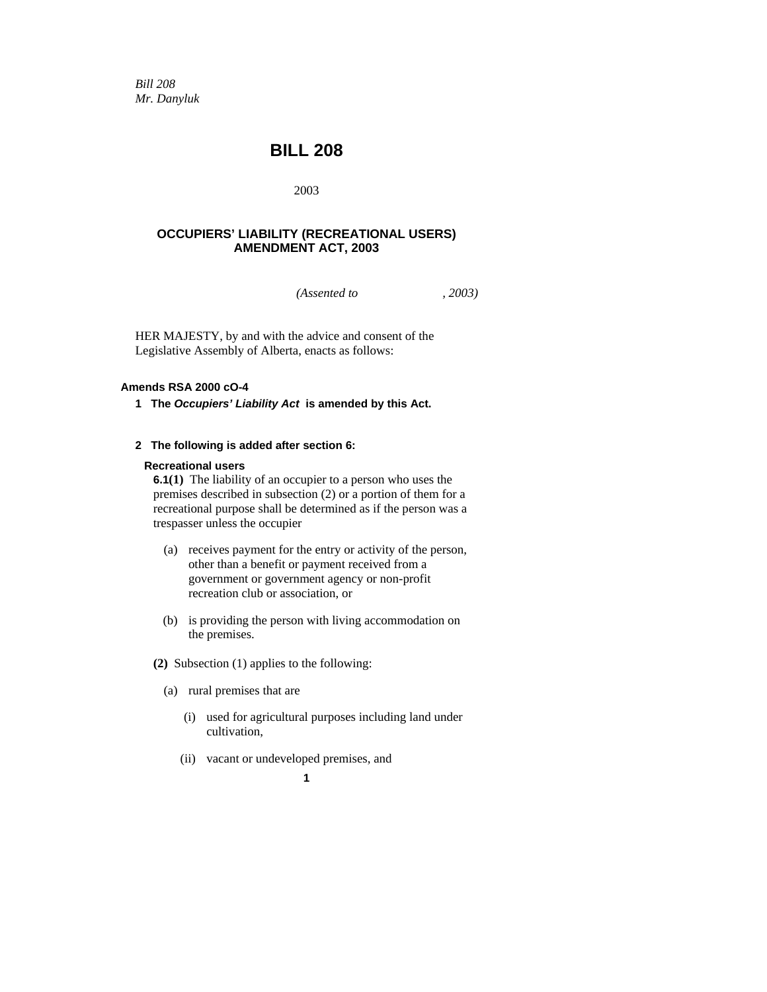*Bill 208 Mr. Danyluk* 

## **BILL 208**

2003

#### **OCCUPIERS' LIABILITY (RECREATIONAL USERS) AMENDMENT ACT, 2003**

*(Assented to , 2003)* 

HER MAJESTY, by and with the advice and consent of the Legislative Assembly of Alberta, enacts as follows:

#### **Amends RSA 2000 cO-4**

**1 The** *Occupiers' Liability Act* **is amended by this Act.** 

#### **2 The following is added after section 6:**

#### **Recreational users**

**6.1(1)** The liability of an occupier to a person who uses the premises described in subsection (2) or a portion of them for a recreational purpose shall be determined as if the person was a trespasser unless the occupier

- (a) receives payment for the entry or activity of the person, other than a benefit or payment received from a government or government agency or non-profit recreation club or association, or
- (b) is providing the person with living accommodation on the premises.
- **(2)** Subsection (1) applies to the following:
	- (a) rural premises that are
		- (i) used for agricultural purposes including land under cultivation,
		- (ii) vacant or undeveloped premises, and

**1**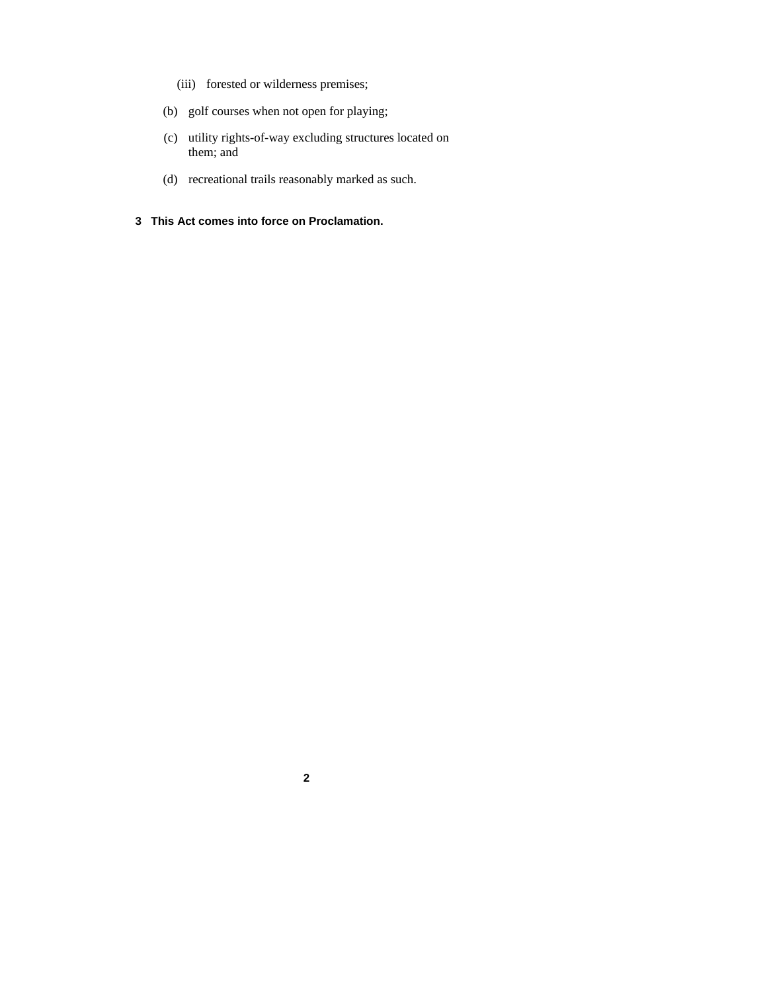- (iii) forested or wilderness premises;
- (b) golf courses when not open for playing;
- (c) utility rights-of-way excluding structures located on them; and
- (d) recreational trails reasonably marked as such.
- **3 This Act comes into force on Proclamation.**

**2**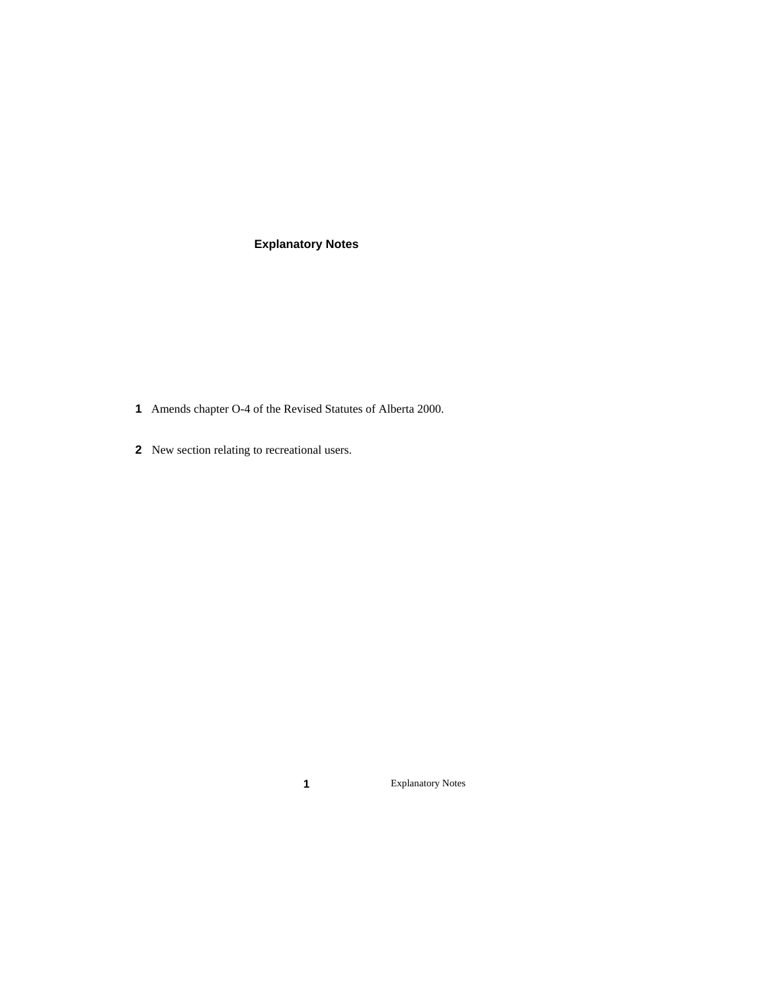## **Explanatory Notes**

- Amends chapter O-4 of the Revised Statutes of Alberta 2000.
- New section relating to recreational users.

Explanatory Notes